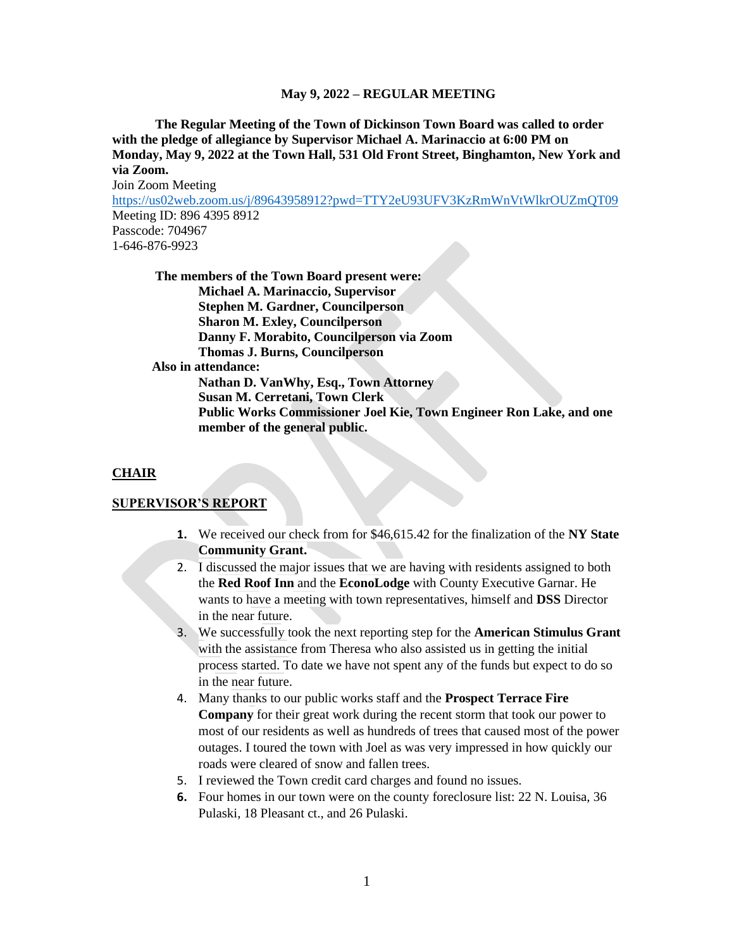**The Regular Meeting of the Town of Dickinson Town Board was called to order with the pledge of allegiance by Supervisor Michael A. Marinaccio at 6:00 PM on Monday, May 9, 2022 at the Town Hall, 531 Old Front Street, Binghamton, New York and via Zoom.**

Join Zoom Meeting <https://us02web.zoom.us/j/89643958912?pwd=TTY2eU93UFV3KzRmWnVtWlkrOUZmQT09> Meeting ID: 896 4395 8912 Passcode: 704967 1-646-876-9923

**The members of the Town Board present were: Michael A. Marinaccio, Supervisor Stephen M. Gardner, Councilperson Sharon M. Exley, Councilperson Danny F. Morabito, Councilperson via Zoom Thomas J. Burns, Councilperson Also in attendance: Nathan D. VanWhy, Esq., Town Attorney Susan M. Cerretani, Town Clerk Public Works Commissioner Joel Kie, Town Engineer Ron Lake, and one member of the general public.**

#### **CHAIR**

#### **SUPERVISOR'S REPORT**

- **1.** We received our check from for \$46,615.42 for the finalization of the **NY State Community Grant.**
- 2. I discussed the major issues that we are having with residents assigned to both the **Red Roof Inn** and the **EconoLodge** with County Executive Garnar. He wants to have a meeting with town representatives, himself and **DSS** Director in the near future.
- 3. We successfully took the next reporting step for the **American Stimulus Grant** with the assistance from Theresa who also assisted us in getting the initial process started. To date we have not spent any of the funds but expect to do so in the near future.
- 4. Many thanks to our public works staff and the **Prospect Terrace Fire Company** for their great work during the recent storm that took our power to most of our residents as well as hundreds of trees that caused most of the power outages. I toured the town with Joel as was very impressed in how quickly our roads were cleared of snow and fallen trees.
- 5. I reviewed the Town credit card charges and found no issues.
- **6.** Four homes in our town were on the county foreclosure list: 22 N. Louisa, 36 Pulaski, 18 Pleasant ct., and 26 Pulaski.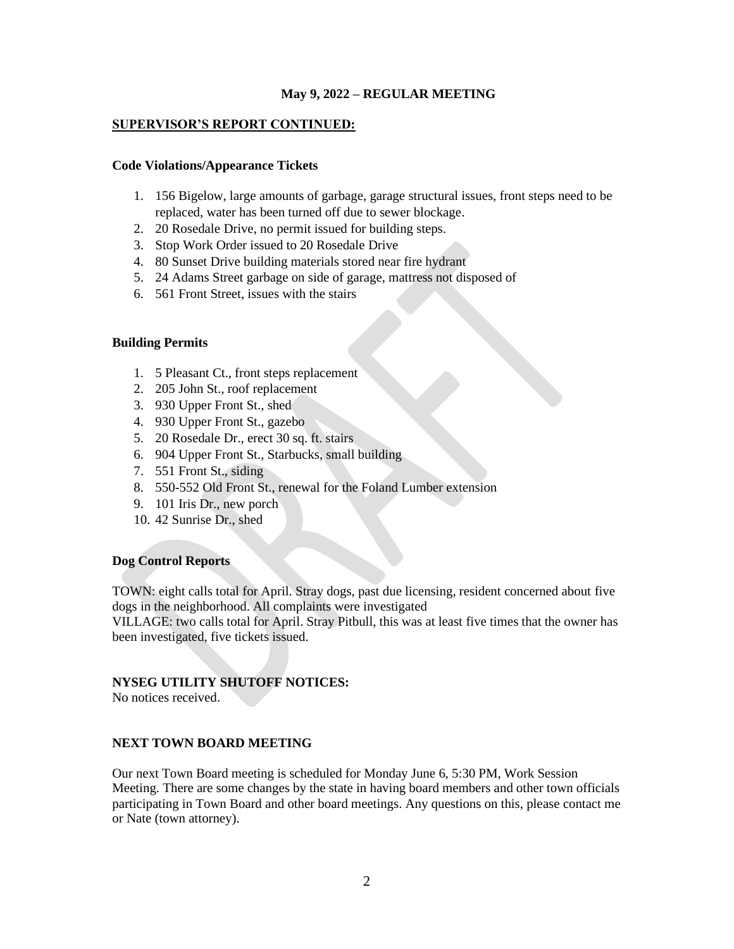### **SUPERVISOR'S REPORT CONTINUED:**

#### **Code Violations/Appearance Tickets**

- 1. 156 Bigelow, large amounts of garbage, garage structural issues, front steps need to be replaced, water has been turned off due to sewer blockage.
- 2. 20 Rosedale Drive, no permit issued for building steps.
- 3. Stop Work Order issued to 20 Rosedale Drive
- 4. 80 Sunset Drive building materials stored near fire hydrant
- 5. 24 Adams Street garbage on side of garage, mattress not disposed of
- 6. 561 Front Street, issues with the stairs

## **Building Permits**

- 1. 5 Pleasant Ct., front steps replacement
- 2. 205 John St., roof replacement
- 3. 930 Upper Front St., shed
- 4. 930 Upper Front St., gazebo
- 5. 20 Rosedale Dr., erect 30 sq. ft. stairs
- 6. 904 Upper Front St., Starbucks, small building
- 7. 551 Front St., siding
- 8. 550-552 Old Front St., renewal for the Foland Lumber extension
- 9. 101 Iris Dr., new porch
- 10. 42 Sunrise Dr., shed

## **Dog Control Reports**

TOWN: eight calls total for April. Stray dogs, past due licensing, resident concerned about five dogs in the neighborhood. All complaints were investigated

VILLAGE: two calls total for April. Stray Pitbull, this was at least five times that the owner has been investigated, five tickets issued.

# **NYSEG UTILITY SHUTOFF NOTICES:**

No notices received.

#### **NEXT TOWN BOARD MEETING**

Our next Town Board meeting is scheduled for Monday June 6, 5:30 PM, Work Session Meeting. There are some changes by the state in having board members and other town officials participating in Town Board and other board meetings. Any questions on this, please contact me or Nate (town attorney).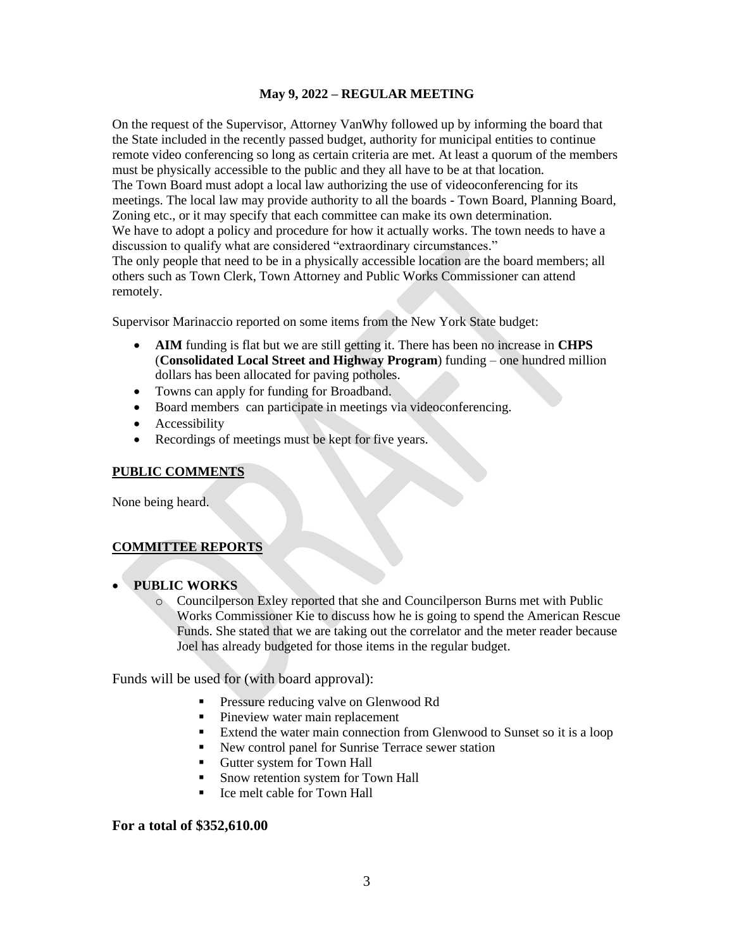On the request of the Supervisor, Attorney VanWhy followed up by informing the board that the State included in the recently passed budget, authority for municipal entities to continue remote video conferencing so long as certain criteria are met. At least a quorum of the members must be physically accessible to the public and they all have to be at that location. The Town Board must adopt a local law authorizing the use of videoconferencing for its meetings. The local law may provide authority to all the boards - Town Board, Planning Board, Zoning etc., or it may specify that each committee can make its own determination. We have to adopt a policy and procedure for how it actually works. The town needs to have a discussion to qualify what are considered "extraordinary circumstances." The only people that need to be in a physically accessible location are the board members; all others such as Town Clerk, Town Attorney and Public Works Commissioner can attend remotely.

Supervisor Marinaccio reported on some items from the New York State budget:

- **AIM** funding is flat but we are still getting it. There has been no increase in **CHPS**  (**Consolidated Local Street and Highway Program**) funding – one hundred million dollars has been allocated for paving potholes.
- Towns can apply for funding for Broadband.
- Board members can participate in meetings via videoconferencing.
- **Accessibility**
- Recordings of meetings must be kept for five years.

#### **PUBLIC COMMENTS**

None being heard.

#### **COMMITTEE REPORTS**

- **PUBLIC WORKS**
	- o Councilperson Exley reported that she and Councilperson Burns met with Public Works Commissioner Kie to discuss how he is going to spend the American Rescue Funds. She stated that we are taking out the correlator and the meter reader because Joel has already budgeted for those items in the regular budget.

Funds will be used for (with board approval):

- Pressure reducing valve on Glenwood Rd
- Pineview water main replacement
- Extend the water main connection from Glenwood to Sunset so it is a loop
- New control panel for Sunrise Terrace sewer station
- Gutter system for Town Hall
- Snow retention system for Town Hall
- Ice melt cable for Town Hall

#### **For a total of \$352,610.00**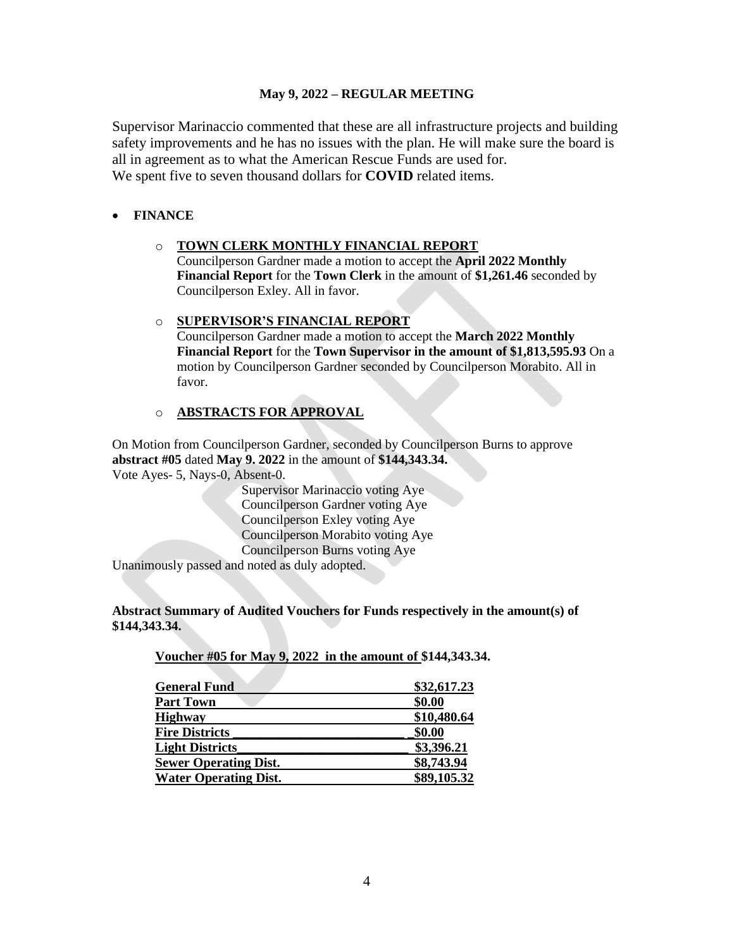Supervisor Marinaccio commented that these are all infrastructure projects and building safety improvements and he has no issues with the plan. He will make sure the board is all in agreement as to what the American Rescue Funds are used for. We spent five to seven thousand dollars for **COVID** related items.

## • **FINANCE**

### o **TOWN CLERK MONTHLY FINANCIAL REPORT**

Councilperson Gardner made a motion to accept the **April 2022 Monthly Financial Report** for the **Town Clerk** in the amount of **\$1,261.46** seconded by Councilperson Exley. All in favor.

#### o **SUPERVISOR'S FINANCIAL REPORT**

Councilperson Gardner made a motion to accept the **March 2022 Monthly Financial Report** for the **Town Supervisor in the amount of \$1,813,595.93** On a motion by Councilperson Gardner seconded by Councilperson Morabito. All in favor.

# o **ABSTRACTS FOR APPROVAL**

On Motion from Councilperson Gardner, seconded by Councilperson Burns to approve **abstract #05** dated **May 9. 2022** in the amount of **\$144,343.34.** Vote Ayes- 5, Nays-0, Absent-0.

> Supervisor Marinaccio voting Aye Councilperson Gardner voting Aye Councilperson Exley voting Aye Councilperson Morabito voting Aye Councilperson Burns voting Aye

Unanimously passed and noted as duly adopted.

**Abstract Summary of Audited Vouchers for Funds respectively in the amount(s) of \$144,343.34.** 

**Voucher #05 for May 9, 2022 in the amount of \$144,343.34.**

| \$32,617.23 |
|-------------|
| \$0.00      |
| \$10,480.64 |
| \$0.00      |
| \$3,396.21  |
| \$8,743.94  |
| \$89,105.32 |
|             |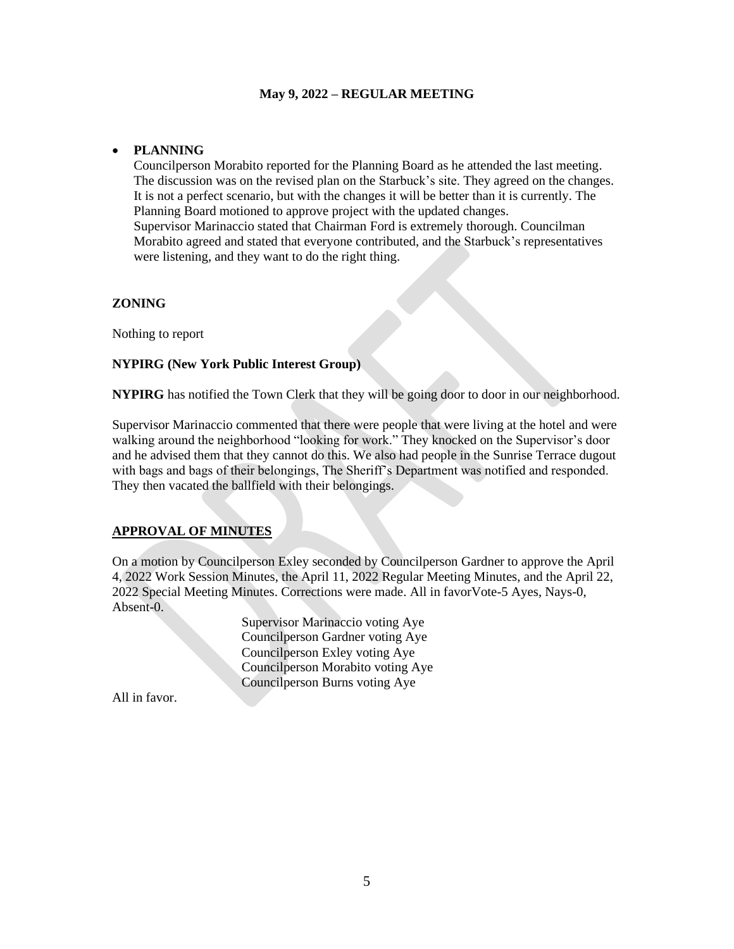#### • **PLANNING**

Councilperson Morabito reported for the Planning Board as he attended the last meeting. The discussion was on the revised plan on the Starbuck's site. They agreed on the changes. It is not a perfect scenario, but with the changes it will be better than it is currently. The Planning Board motioned to approve project with the updated changes. Supervisor Marinaccio stated that Chairman Ford is extremely thorough. Councilman Morabito agreed and stated that everyone contributed, and the Starbuck's representatives were listening, and they want to do the right thing.

#### **ZONING**

Nothing to report

#### **NYPIRG (New York Public Interest Group)**

**NYPIRG** has notified the Town Clerk that they will be going door to door in our neighborhood.

Supervisor Marinaccio commented that there were people that were living at the hotel and were walking around the neighborhood "looking for work." They knocked on the Supervisor's door and he advised them that they cannot do this. We also had people in the Sunrise Terrace dugout with bags and bags of their belongings, The Sheriff's Department was notified and responded. They then vacated the ballfield with their belongings.

# **APPROVAL OF MINUTES**

On a motion by Councilperson Exley seconded by Councilperson Gardner to approve the April 4, 2022 Work Session Minutes, the April 11, 2022 Regular Meeting Minutes, and the April 22, 2022 Special Meeting Minutes. Corrections were made. All in favorVote-5 Ayes, Nays-0, Absent-0.

> Supervisor Marinaccio voting Aye Councilperson Gardner voting Aye Councilperson Exley voting Aye Councilperson Morabito voting Aye Councilperson Burns voting Aye

All in favor.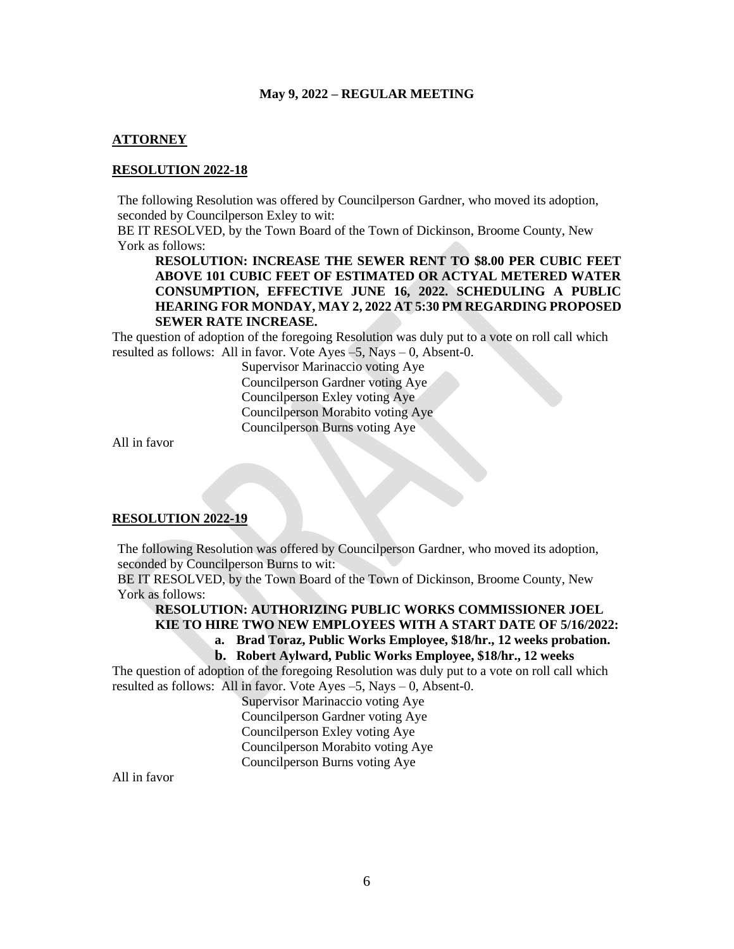#### **ATTORNEY**

#### **RESOLUTION 2022-18**

The following Resolution was offered by Councilperson Gardner, who moved its adoption, seconded by Councilperson Exley to wit:

BE IT RESOLVED, by the Town Board of the Town of Dickinson, Broome County, New York as follows:

**RESOLUTION: INCREASE THE SEWER RENT TO \$8.00 PER CUBIC FEET ABOVE 101 CUBIC FEET OF ESTIMATED OR ACTYAL METERED WATER CONSUMPTION, EFFECTIVE JUNE 16, 2022. SCHEDULING A PUBLIC HEARING FOR MONDAY, MAY 2, 2022 AT 5:30 PM REGARDING PROPOSED SEWER RATE INCREASE.**

The question of adoption of the foregoing Resolution was duly put to a vote on roll call which resulted as follows: All in favor. Vote Ayes –5, Nays – 0, Absent-0.

> Supervisor Marinaccio voting Aye Councilperson Gardner voting Aye Councilperson Exley voting Aye Councilperson Morabito voting Aye Councilperson Burns voting Aye

All in favor

#### **RESOLUTION 2022-19**

The following Resolution was offered by Councilperson Gardner, who moved its adoption, seconded by Councilperson Burns to wit:

BE IT RESOLVED, by the Town Board of the Town of Dickinson, Broome County, New York as follows:

# **RESOLUTION: AUTHORIZING PUBLIC WORKS COMMISSIONER JOEL KIE TO HIRE TWO NEW EMPLOYEES WITH A START DATE OF 5/16/2022:**

**a. Brad Toraz, Public Works Employee, \$18/hr., 12 weeks probation.**

#### **b. Robert Aylward, Public Works Employee, \$18/hr., 12 weeks**

The question of adoption of the foregoing Resolution was duly put to a vote on roll call which resulted as follows: All in favor. Vote Ayes –5, Nays – 0, Absent-0.

Supervisor Marinaccio voting Aye Councilperson Gardner voting Aye Councilperson Exley voting Aye Councilperson Morabito voting Aye Councilperson Burns voting Aye

All in favor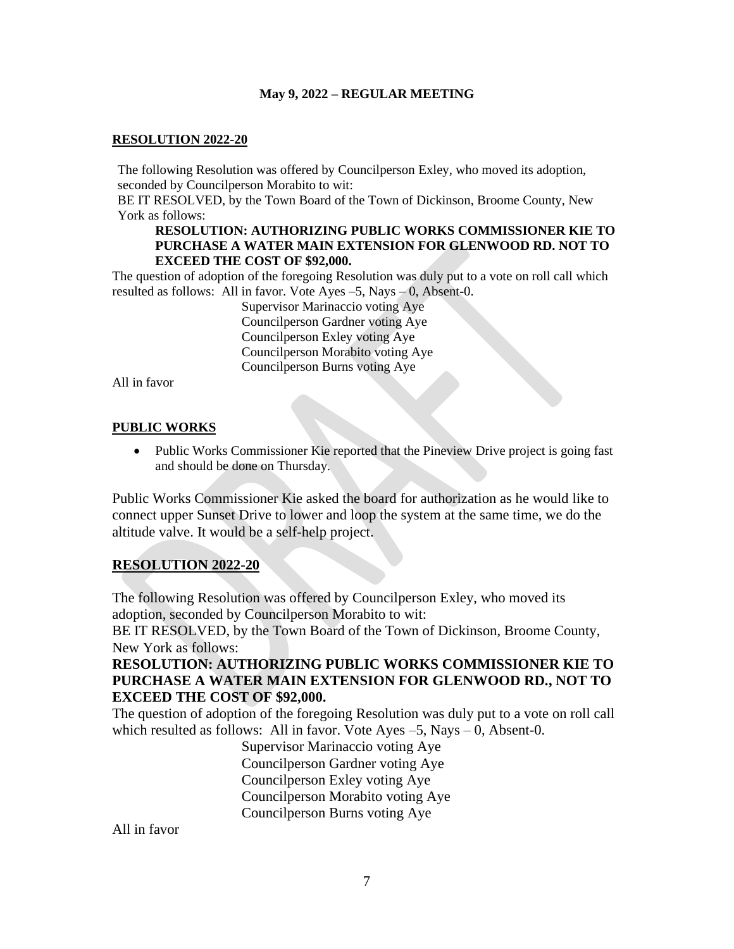## **RESOLUTION 2022-20**

The following Resolution was offered by Councilperson Exley, who moved its adoption, seconded by Councilperson Morabito to wit:

BE IT RESOLVED, by the Town Board of the Town of Dickinson, Broome County, New York as follows:

## **RESOLUTION: AUTHORIZING PUBLIC WORKS COMMISSIONER KIE TO PURCHASE A WATER MAIN EXTENSION FOR GLENWOOD RD. NOT TO EXCEED THE COST OF \$92,000.**

The question of adoption of the foregoing Resolution was duly put to a vote on roll call which resulted as follows: All in favor. Vote Ayes  $-5$ , Nays  $-0$ , Absent-0.

> Supervisor Marinaccio voting Aye Councilperson Gardner voting Aye Councilperson Exley voting Aye Councilperson Morabito voting Aye Councilperson Burns voting Aye

All in favor

# **PUBLIC WORKS**

• Public Works Commissioner Kie reported that the Pineview Drive project is going fast and should be done on Thursday.

Public Works Commissioner Kie asked the board for authorization as he would like to connect upper Sunset Drive to lower and loop the system at the same time, we do the altitude valve. It would be a self-help project.

# **RESOLUTION 2022-20**

The following Resolution was offered by Councilperson Exley, who moved its adoption, seconded by Councilperson Morabito to wit:

BE IT RESOLVED, by the Town Board of the Town of Dickinson, Broome County, New York as follows:

# **RESOLUTION: AUTHORIZING PUBLIC WORKS COMMISSIONER KIE TO PURCHASE A WATER MAIN EXTENSION FOR GLENWOOD RD., NOT TO EXCEED THE COST OF \$92,000.**

The question of adoption of the foregoing Resolution was duly put to a vote on roll call which resulted as follows: All in favor. Vote Ayes –5, Nays – 0, Absent-0.

Supervisor Marinaccio voting Aye Councilperson Gardner voting Aye Councilperson Exley voting Aye Councilperson Morabito voting Aye Councilperson Burns voting Aye

All in favor